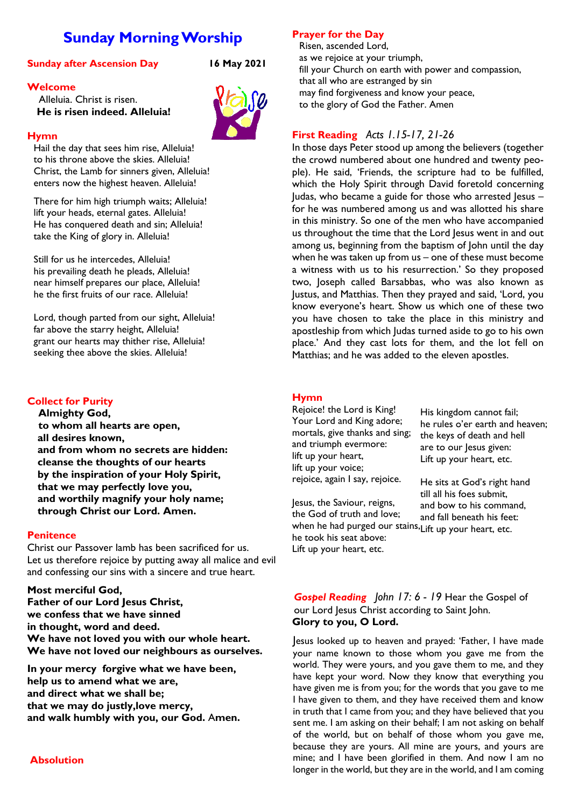# **Sunday Morning Worship**

# **Sunday after Ascension Day 16 May 2021**

# **Welcome**

 Alleluia. Christ is risen. **He is risen indeed. Alleluia!**

# **Hymn**

Hail the day that sees him rise, Alleluia! to his throne above the skies. Alleluia! Christ, the Lamb for sinners given, Alleluia! enters now the highest heaven. Alleluia!

There for him high triumph waits; Alleluia! lift your heads, eternal gates. Alleluia! He has conquered death and sin; Alleluia! take the King of glory in. Alleluia!

Still for us he intercedes, Alleluia! his prevailing death he pleads, Alleluia! near himself prepares our place, Alleluia! he the first fruits of our race. Alleluia!

Lord, though parted from our sight, Alleluia! far above the starry height, Alleluia! grant our hearts may thither rise, Alleluia! seeking thee above the skies. Alleluia!

# **Collect for Purity**

**Almighty God, to whom all hearts are open, all desires known, and from whom no secrets are hidden: cleanse the thoughts of our hearts by the inspiration of your Holy Spirit, that we may perfectly love you, and worthily magnify your holy name; through Christ our Lord. Amen.**

# **Penitence**

Christ our Passover lamb has been sacrificed for us. Let us therefore rejoice by putting away all malice and evil and confessing our sins with a sincere and true heart.

# **Most merciful God,**

**Father of our Lord Jesus Christ, we confess that we have sinned in thought, word and deed. We have not loved you with our whole heart. We have not loved our neighbours as ourselves.**

**In your mercy forgive what we have been, help us to amend what we are, and direct what we shall be; that we may do justly,love mercy, and walk humbly with you, our God.** A**men.**

# **Prayer for the Day**

Risen, ascended Lord, as we rejoice at your triumph, fill your Church on earth with power and compassion, that all who are estranged by sin may find forgiveness and know your peace, to the glory of God the Father. Amen

# **First Reading** *Acts 1.15-17, 21-26*

In those days Peter stood up among the believers (together the crowd numbered about one hundred and twenty people). He said, 'Friends, the scripture had to be fulfilled, which the Holy Spirit through David foretold concerning Judas, who became a guide for those who arrested Jesus – for he was numbered among us and was allotted his share in this ministry. So one of the men who have accompanied us throughout the time that the Lord Jesus went in and out among us, beginning from the baptism of John until the day when he was taken up from us – one of these must become a witness with us to his resurrection.' So they proposed two, Joseph called Barsabbas, who was also known as Justus, and Matthias. Then they prayed and said, 'Lord, you know everyone's heart. Show us which one of these two you have chosen to take the place in this ministry and apostleship from which Judas turned aside to go to his own place.' And they cast lots for them, and the lot fell on Matthias; and he was added to the eleven apostles.

# **Hymn**

Rejoice! the Lord is King! Your Lord and King adore; mortals, give thanks and sing; and triumph evermore: lift up your heart, lift up your voice; rejoice, again I say, rejoice.

His kingdom cannot fail; he rules o'er earth and heaven; the keys of death and hell are to our lesus given: Lift up your heart, etc.

He sits at God's right hand till all his foes submit, and bow to his command, and fall beneath his feet:

Jesus, the Saviour, reigns, the God of truth and love; when he had purged our stains, Lift up your heart, etc.he took his seat above: Lift up your heart, etc.

*Gospel Reading John 17: 6 - 19* Hear the Gospel of our Lord Jesus Christ according to Saint John. **Glory to you, O Lord.**

Jesus looked up to heaven and prayed: 'Father, I have made your name known to those whom you gave me from the world. They were yours, and you gave them to me, and they have kept your word. Now they know that everything you have given me is from you; for the words that you gave to me I have given to them, and they have received them and know in truth that I came from you; and they have believed that you sent me. I am asking on their behalf; I am not asking on behalf of the world, but on behalf of those whom you gave me, because they are yours. All mine are yours, and yours are mine; and I have been glorified in them. And now I am no longer in the world, but they are in the world, and I am coming